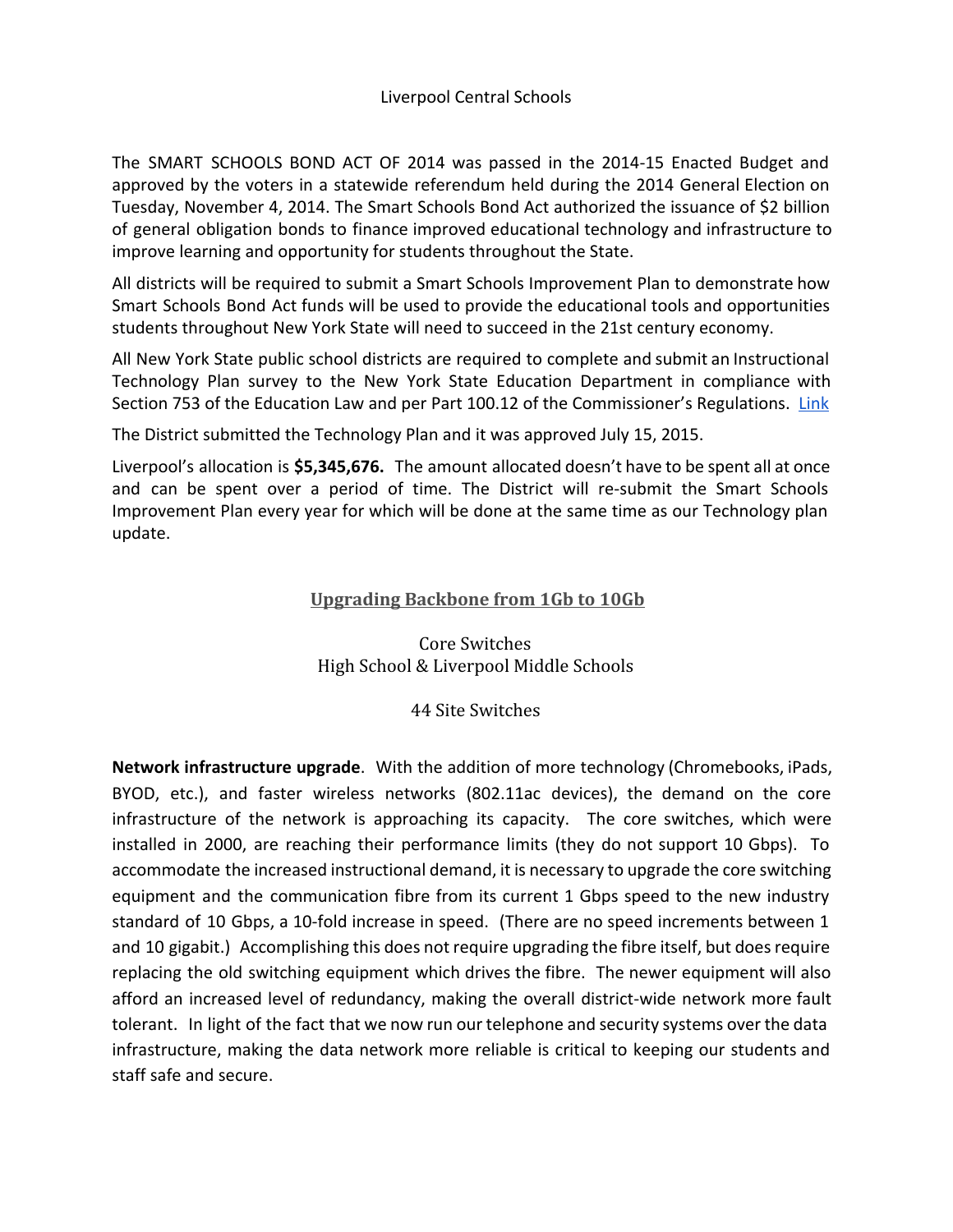The SMART SCHOOLS BOND ACT OF 2014 was passed in the 2014-15 Enacted Budget and approved by the voters in a statewide referendum held during the 2014 General Election on Tuesday, November 4, 2014. The Smart Schools Bond Act authorized the issuance of \$2 billion of general obligation bonds to finance improved educational technology and infrastructure to improve learning and opportunity for students throughout the State.

All districts will be required to submit a Smart Schools Improvement Plan to demonstrate how Smart Schools Bond Act funds will be used to provide the educational tools and opportunities students throughout New York State will need to succeed in the 21st century economy.

All New York State public school districts are required to complete and submit an Instructional Technology Plan survey to the New York State Education Department in compliance with Section 753 of the Education Law and per Part 100.12 of the Commissioner's Regulations. [Link](http://www.p12.nysed.gov/mgtserv/smart_schools/docs/Smart%20Schools%20Bond%20Act%20Guidance%2008.17.15.pdf)

The District submitted the Technology Plan and it was approved July 15, 2015.

Liverpool's allocation is **\$5,345,676.** The amount allocated doesn't have to be spent all at once and can be spent over a period of time. The District will re-submit the Smart Schools Improvement Plan every year for which will be done at the same time as our Technology plan update.

## **Upgrading Backbone from 1Gb to 10Gb**

Core Switches High School & Liverpool Middle Schools

## 44 Site Switches

**Network infrastructure upgrade**. With the addition of more technology (Chromebooks, iPads, BYOD, etc.), and faster wireless networks (802.11ac devices), the demand on the core infrastructure of the network is approaching its capacity. The core switches, which were installed in 2000, are reaching their performance limits (they do not support 10 Gbps). To accommodate the increased instructional demand, it is necessary to upgrade the core switching equipment and the communication fibre from its current 1 Gbps speed to the new industry standard of 10 Gbps, a 10-fold increase in speed. (There are no speed increments between 1 and 10 gigabit.) Accomplishing this does not require upgrading the fibre itself, but does require replacing the old switching equipment which drives the fibre. The newer equipment will also afford an increased level of redundancy, making the overall district-wide network more fault tolerant. In light of the fact that we now run our telephone and security systems over the data infrastructure, making the data network more reliable is critical to keeping our students and staff safe and secure.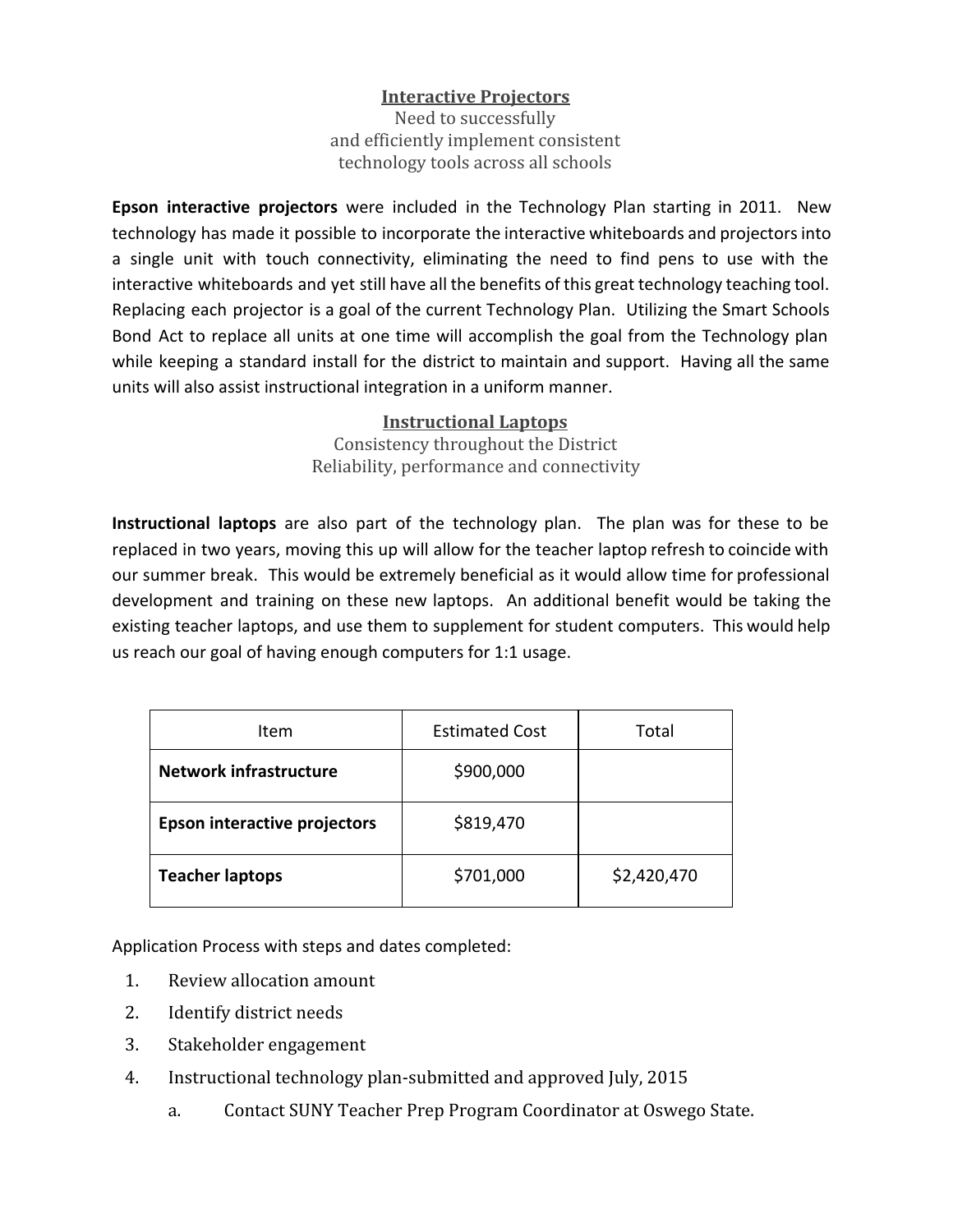## **Interactive Projectors**

Need to successfully and efficiently implement consistent technology tools across all schools

**Epson interactive projectors** were included in the Technology Plan starting in 2011. New technology has made it possible to incorporate the interactive whiteboards and projectors into a single unit with touch connectivity, eliminating the need to find pens to use with the interactive whiteboards and yet still have all the benefits of this great technology teaching tool. Replacing each projector is a goal of the current Technology Plan. Utilizing the Smart Schools Bond Act to replace all units at one time will accomplish the goal from the Technology plan while keeping a standard install for the district to maintain and support. Having all the same units will also assist instructional integration in a uniform manner.

> **Instructional Laptops** Consistency throughout the District Reliability, performance and connectivity

**Instructional laptops** are also part of the technology plan. The plan was for these to be replaced in two years, moving this up will allow for the teacher laptop refresh to coincide with our summer break. This would be extremely beneficial as it would allow time for professional development and training on these new laptops. An additional benefit would be taking the existing teacher laptops, and use them to supplement for student computers. This would help us reach our goal of having enough computers for 1:1 usage.

| Item                                | <b>Estimated Cost</b> | Total       |
|-------------------------------------|-----------------------|-------------|
| <b>Network infrastructure</b>       | \$900,000             |             |
| <b>Epson interactive projectors</b> | \$819,470             |             |
| <b>Teacher laptops</b>              | \$701,000             | \$2,420,470 |

Application Process with steps and dates completed:

- 1. Review allocation amount
- 2. Identify district needs
- 3. Stakeholder engagement
- 4. Instructional technology plan-submitted and approved July, 2015
	- a. Contact SUNY Teacher Prep Program Coordinator at Oswego State.